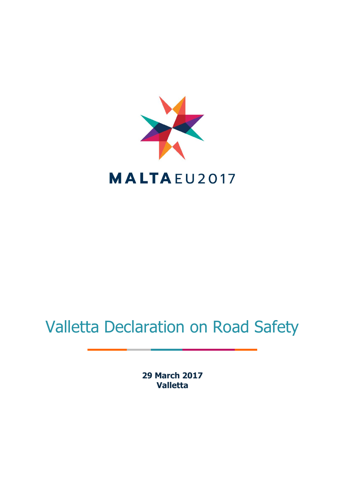

## Valletta Declaration on Road Safety

**29 March 2017 Valletta**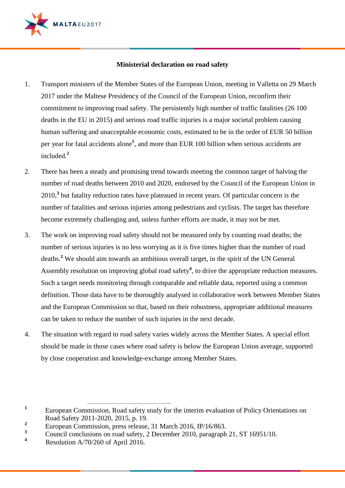

## **Ministerial declaration on road safety**

- 1. Transport ministers of the Member States of the European Union, meeting in Valletta on 29 March 2017 under the Maltese Presidency of the Council of the European Union, reconfirm their commitment to improving road safety. The persistently high number of traffic fatalities (26 100 deaths in the EU in 2015) and serious road traffic injuries is a major societal problem causing human suffering and unacceptable economic costs, estimated to be in the order of EUR 50 billion per year for fatal accidents alone**<sup>1</sup>** , and more than EUR 100 billion when serious accidents are included.**<sup>2</sup>**
- 2. There has been a steady and promising trend towards meeting the common target of halving the number of road deaths between 2010 and 2020, endorsed by the Council of the European Union in 2010,**<sup>3</sup>** but fatality reduction rates have plateaued in recent years. Of particular concern is the number of fatalities and serious injuries among pedestrians and cyclists. The target has therefore become extremely challenging and, unless further efforts are made, it may not be met.
- 3. The work on improving road safety should not be measured only by counting road deaths; the number of serious injuries is no less worrying as it is five times higher than the number of road deaths.**<sup>2</sup>** We should aim towards an ambitious overall target, in the spirit of the UN General Assembly resolution on improving global road safety**<sup>4</sup>** , to drive the appropriate reduction measures. Such a target needs monitoring through comparable and reliable data, reported using a common definition. Those data have to be thoroughly analysed in collaborative work between Member States and the European Commission so that, based on their robustness, appropriate additional measures can be taken to reduce the number of such injuries in the next decade*.*
- 4. The situation with regard to road safety varies widely across the Member States. A special effort should be made in those cases where road safety is below the European Union average, supported by close cooperation and knowledge-exchange among Member States.
- **1** European Commission, Road safety study for the interim evaluation of Policy Orientations on Road Safety 2011-2020, 2015, p. 19.

 $\overline{a}$ 

**<sup>2</sup>** European Commission, press release, 31 March 2016, IP/16/863.

<sup>&</sup>lt;sup>3</sup> Council conclusions on road safety, 2 December 2010, paragraph 21, ST 16951/10.

**<sup>4</sup>** Resolution A/70/260 of April 2016.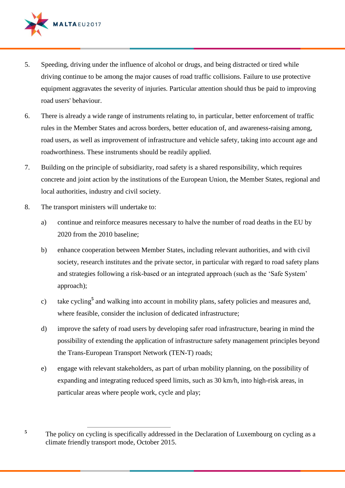

- 5. Speeding, driving under the influence of alcohol or drugs, and being distracted or tired while driving continue to be among the major causes of road traffic collisions. Failure to use protective equipment aggravates the severity of injuries. Particular attention should thus be paid to improving road users' behaviour.
- 6. There is already a wide range of instruments relating to, in particular, better enforcement of traffic rules in the Member States and across borders, better education of, and awareness-raising among, road users, as well as improvement of infrastructure and vehicle safety, taking into account age and roadworthiness. These instruments should be readily applied.
- 7. Building on the principle of subsidiarity, road safety is a shared responsibility, which requires concrete and joint action by the institutions of the European Union, the Member States, regional and local authorities, industry and civil society.
- 8. The transport ministers will undertake to:

**5**

- a) continue and reinforce measures necessary to halve the number of road deaths in the EU by 2020 from the 2010 baseline;
- b) enhance cooperation between Member States, including relevant authorities, and with civil society, research institutes and the private sector, in particular with regard to road safety plans and strategies following a risk-based or an integrated approach (such as the 'Safe System' approach);
- c) take cycling**<sup>5</sup>** and walking into account in mobility plans, safety policies and measures and, where feasible, consider the inclusion of dedicated infrastructure;
- d) improve the safety of road users by developing safer road infrastructure, bearing in mind the possibility of extending the application of infrastructure safety management principles beyond the Trans-European Transport Network (TEN-T) roads;
- e) engage with relevant stakeholders, as part of urban mobility planning, on the possibility of expanding and integrating reduced speed limits, such as 30 km/h, into high-risk areas, in particular areas where people work, cycle and play;

 $\overline{a}$ The policy on cycling is specifically addressed in the Declaration of Luxembourg on cycling as a climate friendly transport mode, October 2015.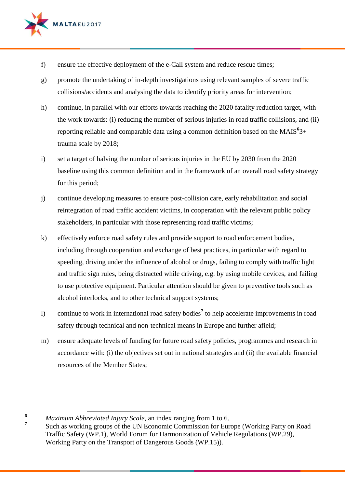

- f) ensure the effective deployment of the e-Call system and reduce rescue times;
- g) promote the undertaking of in-depth investigations using relevant samples of severe traffic collisions/accidents and analysing the data to identify priority areas for intervention;
- h) continue, in parallel with our efforts towards reaching the 2020 fatality reduction target, with the work towards: (i) reducing the number of serious injuries in road traffic collisions, and (ii) reporting reliable and comparable data using a common definition based on the MAIS $63+$ trauma scale by 2018;
- i) set a target of halving the number of serious injuries in the EU by 2030 from the 2020 baseline using this common definition and in the framework of an overall road safety strategy for this period;
- j) continue developing measures to ensure post-collision care, early rehabilitation and social reintegration of road traffic accident victims, in cooperation with the relevant public policy stakeholders, in particular with those representing road traffic victims;
- k) effectively enforce road safety rules and provide support to road enforcement bodies, including through cooperation and exchange of best practices, in particular with regard to speeding, driving under the influence of alcohol or drugs, failing to comply with traffic light and traffic sign rules, being distracted while driving, e.g. by using mobile devices, and failing to use protective equipment. Particular attention should be given to preventive tools such as alcohol interlocks, and to other technical support systems;
- l) continue to work in international road safety bodies**<sup>7</sup>** to help accelerate improvements in road safety through technical and non-technical means in Europe and further afield;
- m) ensure adequate levels of funding for future road safety policies, programmes and research in accordance with: (i) the objectives set out in national strategies and (ii) the available financial resources of the Member States;

**<sup>6</sup>** *Maximum Abbreviated Injury Scale*, an index ranging from 1 to 6.

 $\overline{a}$ 

**7**

Such as working groups of the UN Economic Commission for Europe (Working Party on Road Traffic Safety (WP.1), World Forum for Harmonization of Vehicle Regulations (WP.29), Working Party on the Transport of Dangerous Goods (WP.15)).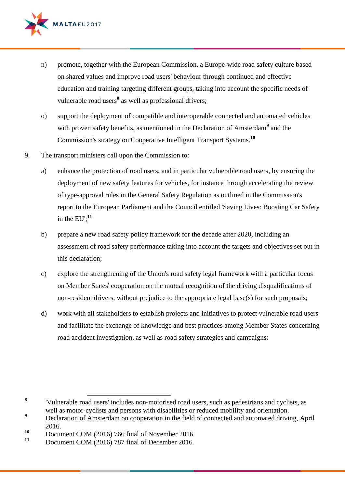

- n) promote, together with the European Commission, a Europe-wide road safety culture based on shared values and improve road users' behaviour through continued and effective education and training targeting different groups, taking into account the specific needs of vulnerable road users**<sup>8</sup>** as well as professional drivers;
- o) support the deployment of compatible and interoperable connected and automated vehicles with proven safety benefits, as mentioned in the Declaration of Amsterdam<sup>9</sup> and the Commission's strategy on Cooperative Intelligent Transport Systems.**<sup>10</sup>**
- 9. The transport ministers call upon the Commission to:
	- a) enhance the protection of road users, and in particular vulnerable road users, by ensuring the deployment of new safety features for vehicles, for instance through accelerating the review of type-approval rules in the General Safety Regulation as outlined in the Commission's report to the European Parliament and the Council entitled 'Saving Lives: Boosting Car Safety in the  $EU$ ;<sup>11</sup>
	- b) prepare a new road safety policy framework for the decade after 2020, including an assessment of road safety performance taking into account the targets and objectives set out in this declaration;
	- c) explore the strengthening of the Union's road safety legal framework with a particular focus on Member States' cooperation on the mutual recognition of the driving disqualifications of non-resident drivers, without prejudice to the appropriate legal base(s) for such proposals;
	- d) work with all stakeholders to establish projects and initiatives to protect vulnerable road users and facilitate the exchange of knowledge and best practices among Member States concerning road accident investigation, as well as road safety strategies and campaigns;

 $\overline{a}$ 

**<sup>8</sup>** 'Vulnerable road users' includes non-motorised road users, such as pedestrians and cyclists, as well as motor-cyclists and persons with disabilities or reduced mobility and orientation.

<sup>&</sup>lt;sup>9</sup> Declaration of Amsterdam on cooperation in the field of connected and automated driving, April 2016.

<sup>10</sup> Document COM (2016) 766 final of November 2016.

**<sup>11</sup>** Document COM (2016) 787 final of December 2016.